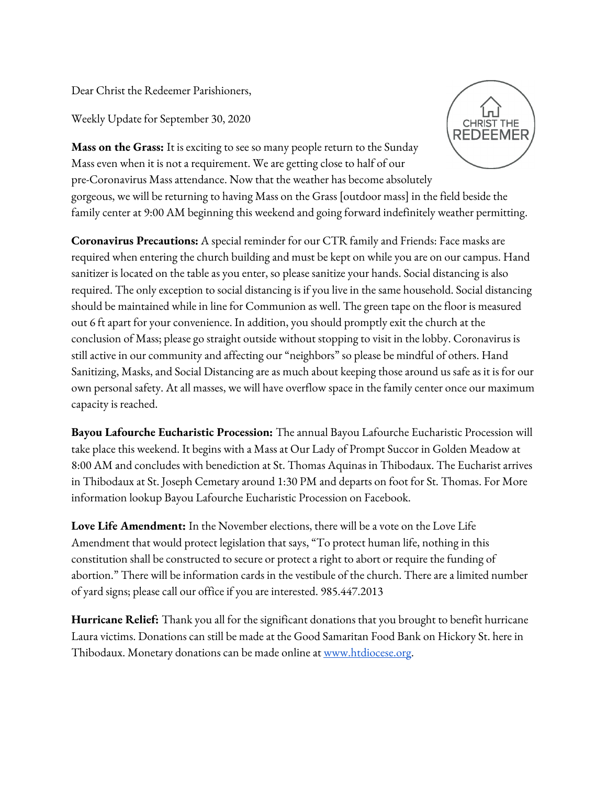Dear Christ the Redeemer Parishioners,

Weekly Update for September 30, 2020

**CHRIST THE REDEEMER** 

**Mass on the Grass:** It is exciting to see so many people return to the Sunday Mass even when it is not a requirement. We are getting close to half of our pre-Coronavirus Mass attendance. Now that the weather has become absolutely gorgeous, we will be returning to having Mass on the Grass [outdoor mass] in the field beside the family center at 9:00 AM beginning this weekend and going forward indefinitely weather permitting.

**Coronavirus Precautions:** A special reminder for our CTR family and Friends: Face masks are required when entering the church building and must be kept on while you are on our campus. Hand sanitizer is located on the table as you enter, so please sanitize your hands. Social distancing is also required. The only exception to social distancing is if you live in the same household. Social distancing should be maintained while in line for Communion as well. The green tape on the floor is measured out 6 ft apart for your convenience. In addition, you should promptly exit the church at the conclusion of Mass; please go straight outside without stopping to visit in the lobby. Coronavirus is still active in our community and affecting our "neighbors" so please be mindful of others. Hand Sanitizing, Masks, and Social Distancing are as much about keeping those around us safe as it is for our own personal safety. At all masses, we will have overflow space in the family center once our maximum capacity is reached.

**Bayou Lafourche Eucharistic Procession:** The annual Bayou Lafourche Eucharistic Procession will take place this weekend. It begins with a Mass at Our Lady of Prompt Succor in Golden Meadow at 8:00 AM and concludes with benediction at St. Thomas Aquinas in Thibodaux. The Eucharist arrives in Thibodaux at St. Joseph Cemetary around 1:30 PM and departs on foot for St. Thomas. For More information lookup Bayou Lafourche Eucharistic Procession on Facebook.

**Love Life Amendment:** In the November elections, there will be a vote on the Love Life Amendment that would protect legislation that says, "To protect human life, nothing in this constitution shall be constructed to secure or protect a right to abort or require the funding of abortion." There will be information cards in the vestibule of the church. There are a limited number of yard signs; please call our office if you are interested. 985.447.2013

**Hurricane Relief:** Thank you all for the significant donations that you brought to benefit hurricane Laura victims. Donations can still be made at the Good Samaritan Food Bank on Hickory St. here in Thibodaux. Monetary donations can be made online at [www.htdiocese.org.](http://www.htdiocese.org/)